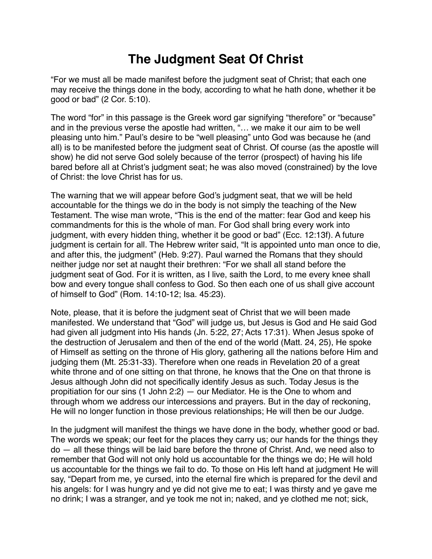## **The Judgment Seat Of Christ**

"For we must all be made manifest before the judgment seat of Christ; that each one may receive the things done in the body, according to what he hath done, whether it be good or bad" (2 Cor. 5:10).

The word "for" in this passage is the Greek word gar signifying "therefore" or "because" and in the previous verse the apostle had written, "… we make it our aim to be well pleasing unto him." Paul's desire to be "well pleasing" unto God was because he (and all) is to be manifested before the judgment seat of Christ. Of course (as the apostle will show) he did not serve God solely because of the terror (prospect) of having his life bared before all at Christ's judgment seat; he was also moved (constrained) by the love of Christ: the love Christ has for us.

The warning that we will appear before God's judgment seat, that we will be held accountable for the things we do in the body is not simply the teaching of the New Testament. The wise man wrote, "This is the end of the matter: fear God and keep his commandments for this is the whole of man. For God shall bring every work into judgment, with every hidden thing, whether it be good or bad" (Ecc. 12:13f). A future judgment is certain for all. The Hebrew writer said, "It is appointed unto man once to die, and after this, the judgment" (Heb. 9:27). Paul warned the Romans that they should neither judge nor set at naught their brethren: "For we shall all stand before the judgment seat of God. For it is written, as I live, saith the Lord, to me every knee shall bow and every tongue shall confess to God. So then each one of us shall give account of himself to God" (Rom. 14:10-12; Isa. 45:23).

Note, please, that it is before the judgment seat of Christ that we will been made manifested. We understand that "God" will judge us, but Jesus is God and He said God had given all judgment into His hands (Jn. 5:22, 27; Acts 17:31). When Jesus spoke of the destruction of Jerusalem and then of the end of the world (Matt. 24, 25), He spoke of Himself as setting on the throne of His glory, gathering all the nations before Him and judging them (Mt. 25:31-33). Therefore when one reads in Revelation 20 of a great white throne and of one sitting on that throne, he knows that the One on that throne is Jesus although John did not specifically identify Jesus as such. Today Jesus is the propitiation for our sins (1 John 2:2) — our Mediator. He is the One to whom and through whom we address our intercessions and prayers. But in the day of reckoning, He will no longer function in those previous relationships; He will then be our Judge.

In the judgment will manifest the things we have done in the body, whether good or bad. The words we speak; our feet for the places they carry us; our hands for the things they do — all these things will be laid bare before the throne of Christ. And, we need also to remember that God will not only hold us accountable for the things we do; He will hold us accountable for the things we fail to do. To those on His left hand at judgment He will say, "Depart from me, ye cursed, into the eternal fire which is prepared for the devil and his angels: for I was hungry and ye did not give me to eat; I was thirsty and ye gave me no drink; I was a stranger, and ye took me not in; naked, and ye clothed me not; sick,